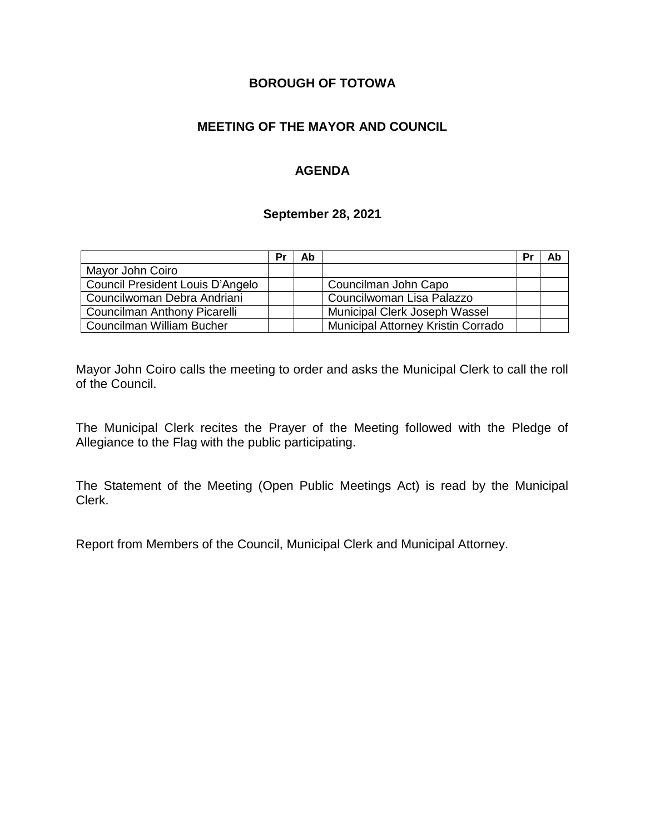### **BOROUGH OF TOTOWA**

# **MEETING OF THE MAYOR AND COUNCIL**

# **AGENDA**

#### **September 28, 2021**

|                                  | Pr | Ab |                                    | Pr | Ab |
|----------------------------------|----|----|------------------------------------|----|----|
| Mayor John Coiro                 |    |    |                                    |    |    |
| Council President Louis D'Angelo |    |    | Councilman John Capo               |    |    |
| Councilwoman Debra Andriani      |    |    | Councilwoman Lisa Palazzo          |    |    |
| Councilman Anthony Picarelli     |    |    | Municipal Clerk Joseph Wassel      |    |    |
| Councilman William Bucher        |    |    | Municipal Attorney Kristin Corrado |    |    |

Mayor John Coiro calls the meeting to order and asks the Municipal Clerk to call the roll of the Council.

The Municipal Clerk recites the Prayer of the Meeting followed with the Pledge of Allegiance to the Flag with the public participating.

The Statement of the Meeting (Open Public Meetings Act) is read by the Municipal Clerk.

Report from Members of the Council, Municipal Clerk and Municipal Attorney.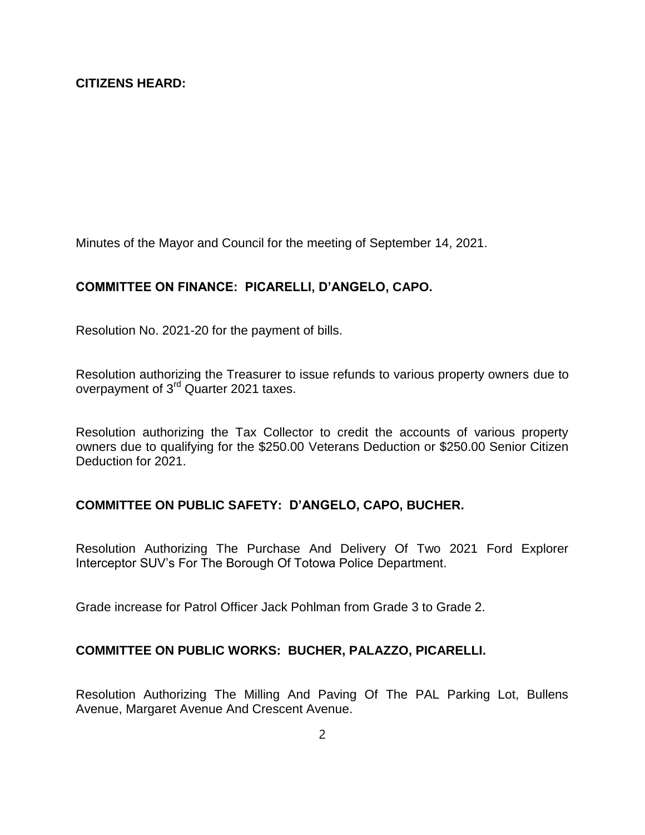Minutes of the Mayor and Council for the meeting of September 14, 2021.

### **COMMITTEE ON FINANCE: PICARELLI, D'ANGELO, CAPO.**

Resolution No. 2021-20 for the payment of bills.

Resolution authorizing the Treasurer to issue refunds to various property owners due to overpayment of 3<sup>rd</sup> Quarter 2021 taxes.

Resolution authorizing the Tax Collector to credit the accounts of various property owners due to qualifying for the \$250.00 Veterans Deduction or \$250.00 Senior Citizen Deduction for 2021.

### **COMMITTEE ON PUBLIC SAFETY: D'ANGELO, CAPO, BUCHER.**

Resolution Authorizing The Purchase And Delivery Of Two 2021 Ford Explorer Interceptor SUV's For The Borough Of Totowa Police Department.

Grade increase for Patrol Officer Jack Pohlman from Grade 3 to Grade 2.

### **COMMITTEE ON PUBLIC WORKS: BUCHER, PALAZZO, PICARELLI.**

Resolution Authorizing The Milling And Paving Of The PAL Parking Lot, Bullens Avenue, Margaret Avenue And Crescent Avenue.